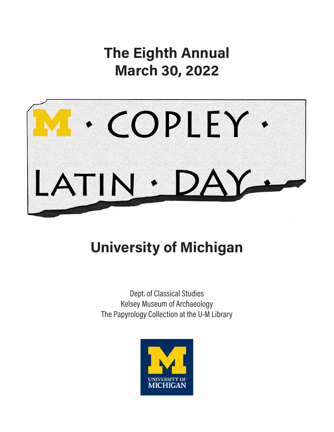The Eighth Annual March 30, 2022



# University of Michigan

Dept. of Classical Studies Kelsey Museum of Archaeology The Papyrology Collection at the U-M Library

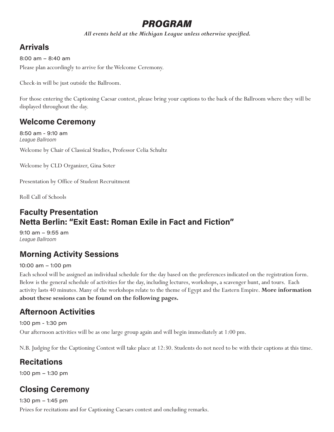# PROGRAM

*All events held at the Michigan League unless otherwise specified.* 

# Arrivals

Please plan accordingly to arrive for the Welcome Ceremony. 8:00 am – 8:40 am

Check-in will be just outside the Ballroom.

For those entering the Captioning Caesar contest, please bring your captions to the back of the Ballroom where they will be displayed throughout the day.

# Welcome Ceremony

Welcome by Chair of Classical Studies, Professor Celia Schultz 8:50 am - 9:10 am League Ballroom

Welcome by CLD Organizer, Gina Soter

Presentation by Office of Student Recruitment

Roll Call of Schools

# Faculty Presentation Netta Berlin: "Exit East: Roman Exile in Fact and Fiction"

9:10 am – 9:55 am League Ballroom

# Morning Activity Sessions

#### 10:00 am – 1:00 pm

Each school will be assigned an individual schedule for the day based on the preferences indicated on the registration form. Below is the general schedule of activities for the day, including lectures, workshops, a scavenger hunt, and tours. Each activity lasts 40 minutes. Many of the workshops relate to the theme of Egypt and the Eastern Empire. **More information about these sessions can be found on the following pages.** 

# Afternoon Activities

Our afternoon activities will be as one large group again and will begin immediately at 1:00 pm. 1:00 pm - 1:30 pm

N.B. Judging for the Captioning Contest will take place at 12:30. Students do not need to be with their captions at this time.

# **Recitations**

1:00 pm – 1:30 pm

# Closing Ceremony

Prizes for recitations and for Captioning Caesars contest and oncluding remarks. 1:30 pm – 1:45 pm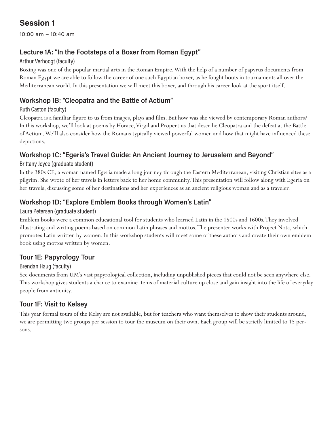10:00 am – 10:40 am

# Lecture 1A: "In the Footsteps of a Boxer from Roman Egypt"

#### Arthur Verhoogt (faculty)

Boxing was one of the popular martial arts in the Roman Empire. With the help of a number of papyrus documents from Roman Egypt we are able to follow the career of one such Egyptian boxer, as he fought bouts in tournaments all over the Mediterranean world. In this presentation we will meet this boxer, and through his career look at the sport itself.

# Workshop 1B: "Cleopatra and the Battle of Actium"

#### Ruth Caston (faculty)

Cleopatra is a familiar figure to us from images, plays and film. But how was she viewed by contemporary Roman authors? In this workshop, we'll look at poems by Horace, Virgil and Propertius that describe Cleopatra and the defeat at the Battle of Actium. We'll also consider how the Romans typically viewed powerful women and how that might have influenced these depictions.

# Workshop 1C: "Egeria's Travel Guide: An Ancient Journey to Jerusalem and Beyond"

#### Brittany Joyce (graduate student)

In the 380s CE, a woman named Egeria made a long journey through the Eastern Mediterranean, visiting Christian sites as a pilgrim. She wrote of her travels in letters back to her home community. This presentation will follow along with Egeria on her travels, discussing some of her destinations and her experiences as an ancient religious woman and as a traveler.

# Workshop 1D: "Explore Emblem Books through Women's Latin"

#### Laura Petersen (graduate student)

Emblem books were a common educational tool for students who learned Latin in the 1500s and 1600s. They involved illustrating and writing poems based on common Latin phrases and mottos. The presenter works with Project Nota, which promotes Latin written by women. In this workshop students will meet some of these authors and create their own emblem book using mottos written by women.

# Tour 1E: Papyrology Tour

#### Brendan Haug (faculty)

See documents from UM's vast papyrological collection, including unpublished pieces that could not be seen anywhere else. This workshop gives students a chance to examine items of material culture up close and gain insight into the life of everyday people from antiquity.

### Tour 1F: Visit to Kelsey

This year formal tours of the Kelsy are not available, but for teachers who want themselves to show their students around, we are permitting two groups per session to tour the museum on their own. Each group will be strictly limited to 15 persons.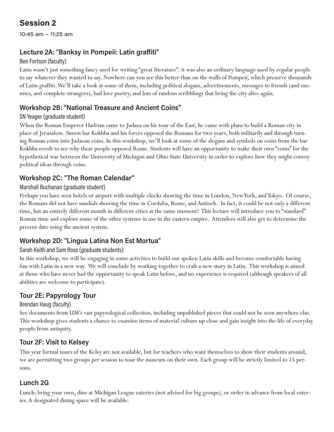10:45 am – 11:25 am

### Lecture 2A: "Banksy in Pompeii: Latin graffiti"

#### Ben Fortson (faculty)

Latin wasn't just something fancy used for writing "great literature": it was also an ordinary language used by regular people to say whatever they wanted to say. Nowhere can you see this better than on the walls of Pompeii, which preserve thousands of Latin graffiti. We'll take a look at some of them, including political slogans, advertisements, messages to friends (and enemies, and complete strangers), bad love poetry, and lots of random scribblings that bring the city alive again.

### Workshop 2B: "National Treasure and Ancient Coins"

#### SN Yeager (graduate student)

When the Roman Emperor Hadrian came to Judaea on his tour of the East, he came with plans to build a Roman city in place of Jerusalem. Simon bar Kokhba and his forces opposed the Romans for two years, both militarily and through turning Roman coins into Judaean coins. In this workshop, we'll look at some of the slogans and symbols on coins from the bar Kokhba revolt to see why these people opposed Rome. Students will have an opportunity to make their own "coins" for the hypothetical war between the University of Michigan and Ohio State University in order to explore how they might convey political ideas through coins.

# Workshop 2C: "The Roman Calendar"

#### Marshall Buchanan (graduate student)

Perhaps you have seen hotels or airport with multiple clocks showing the time in London, New York, and Tokyo. Of course, the Romans did not have sundials showing the time in Corduba, Rome, and Antioch. In fact, it could be not only a different time, but an entirely different month in different cities at the same moment! This lecture will introduce you to "standard" Roman time and explore some of the other systems in use in the eastern empire. Attendees will also get to determine the present date using the ancient system.

### Workshop 2D: "Lingua Latina Non Est Mortua"

#### Sarah Keith and Sam Ross (graduate students)

In this workshop, we will be engaging in some activities to build our spoken Latin skills and become comfortable having fun with Latin in a new way. We will conclude by working together to craft a new story in Latin. This workshop is aimed at those who have never had the opportunity to speak Latin before, and no experience is required (although speakers of all abilities are welcome to participate).

### Tour 2E: Papyrology Tour

#### Brendan Haug (faculty)

See documents from UM's vast papyrological collection, including unpublished pieces that could not be seen anywhere else. This workshop gives students a chance to examine items of material culture up close and gain insight into the life of everyday people from antiquity.

### Tour 2F: Visit to Kelsey

This year formal tours of the Kelsy are not available, but for teachers who want themselves to show their students around, we are permitting two groups per session to tour the museum on their own. Each group will be strictly limited to 15 persons.

### Lunch 2G

Lunch: bring your own, dine at Michigan League eateries (not advised for big groups), or order in advance from local eateries. A designated dining space will be available.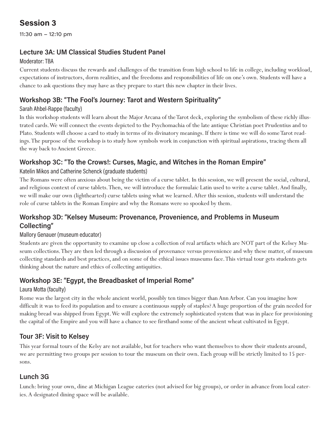11:30 am – 12:10 pm

# Lecture 3A: UM Classical Studies Student Panel

#### Moderator: TBA

Current students discuss the rewards and challenges of the transition from high school to life in college, including workload, expectations of instructors, dorm realities, and the freedoms and responsibilities of life on one's own. Students will have a chance to ask questions they may have as they prepare to start this new chapter in their lives.

# Workshop 3B: "The Fool's Journey: Tarot and Western Spirituality"

#### Sarah Ahbel-Rappe (faculty)

In this workshop students will learn about the Major Arcana of the Tarot deck, exploring the symbolism of these richly illustrated cards. We will connect the events depicted to the Psychomachia of the late antique Christian poet Prudentius and to Plato. Students will choose a card to study in terms of its divinatory meanings. If there is time we will do some Tarot readings. The purpose of the workshop is to study how symbols work in conjunction with spiritual aspirations, tracing them all the way back to Ancient Greece.

# Workshop 3C: "To the Crows!: Curses, Magic, and Witches in the Roman Empire"

#### Katelin Mikos and Catherine Schenck (graduate students)

The Romans were often anxious about being the victim of a curse tablet. In this session, we will present the social, cultural, and religious context of curse tablets. Then, we will introduce the formulaic Latin used to write a curse tablet. And finally, we will make our own (lighthearted) curse tablets using what we learned. After this session, students will understand the role of curse tablets in the Roman Empire and why the Romans were so spooked by them.

# Workshop 3D: "Kelsey Museum: Provenance, Provenience, and Problems in Museum Collecting"

#### Mallory Genauer (museum educator)

Students are given the opportunity to examine up close a collection of real artifacts which are NOT part of the Kelsey Museum collections. They are then led through a discussion of provenance versus provenience and why these matter, of museum collecting standards and best practices, and on some of the ethical issues museums face. This virtual tour gets students gets thinking about the nature and ethics of collecting antiquities.

# Workshop 3E: "Egypt, the Breadbasket of Imperial Rome"

#### Laura Motta (faculty)

Rome was the largest city in the whole ancient world, possibly ten times bigger than Ann Arbor. Can you imagine how difficult it was to feed its population and to ensure a continuous supply of staples? A huge proportion of the grain needed for making bread was shipped from Egypt. We will explore the extremely sophisticated system that was in place for provisioning the capital of the Empire and you will have a chance to see firsthand some of the ancient wheat cultivated in Egypt.

### Tour 3F: Visit to Kelsey

This year formal tours of the Kelsy are not available, but for teachers who want themselves to show their students around, we are permitting two groups per session to tour the museum on their own. Each group will be strictly limited to 15 persons.

# Lunch 3G

Lunch: bring your own, dine at Michigan League eateries (not advised for big groups), or order in advance from local eateries. A designated dining space will be available.